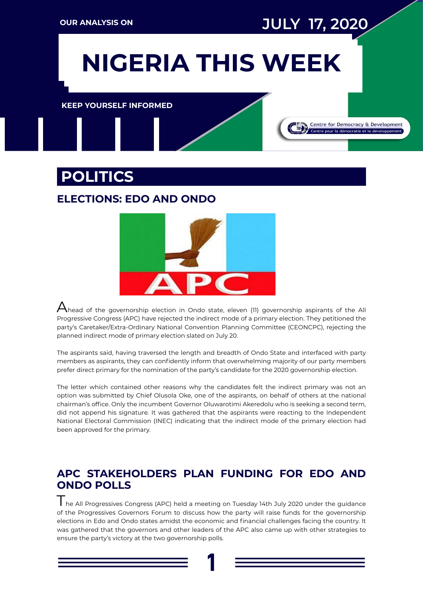**1**

**NIGERIA THIS WEEK NIGERIA THIS WEEK NIGERIA THIS WEEK**

**[KEEP YOURSELF INFORMED](http://www.cddwestafrica.org)**

## **POLITICS**

#### **[ELECTIONS: EDO AND ONDO](https://punchng.com/11-ondo-apc-gov-aspirants-reject-indirect-primary/)**



 $A$ head of the governorship election in Ondo state, eleven (11) governorship aspirants of the All Progressive Congress (APC) have rejected the indirect mode of a primary election. They petitioned the party's Caretaker/Extra-Ordinary National Convention Planning Committee (CEONCPC), rejecting the planned indirect mode of primary election slated on July 20.

The aspirants said, having traversed the length and breadth of Ondo State and interfaced with party members as aspirants, they can confidently inform that overwhelming majority of our party members prefer direct primary for the nomination of the party's candidate for the 2020 governorship election.

The letter which contained other reasons why the candidates felt the indirect primary was not an option was submitted by Chief Olusola Oke, one of the aspirants, on behalf of others at the national chairman's office. Only the incumbent Governor Oluwarotimi Akeredolu who is seeking a second term, did not append his signature. It was gathered that the aspirants were reacting to the Independent National Electoral Commission (INEC) indicating that the indirect mode of the primary election had been approved for the primary.

#### **[APC STAKEHOLDERS PLAN FUNDING FOR EDO AND](https://punchng.com/apc-govs-leaders-meet-today-plan-funding-for-edo-ondo-polls/)  [ONDO POLLS](https://punchng.com/apc-govs-leaders-meet-today-plan-funding-for-edo-ondo-polls/)**

The All Progressives Congress (APC) held a meeting on Tuesday 14th July 2020 under the guidance of the Progressives Governors Forum to discuss how the party will raise funds for the governorship elections in Edo and Ondo states amidst the economic and financial challenges facing the country. It was gathered that the governors and other leaders of the APC also came up with other strategies to ensure the party's victory at the two governorship polls.

# **OUR ANALYSIS ON JULY 17, 2020**

Centre for Democracy & Development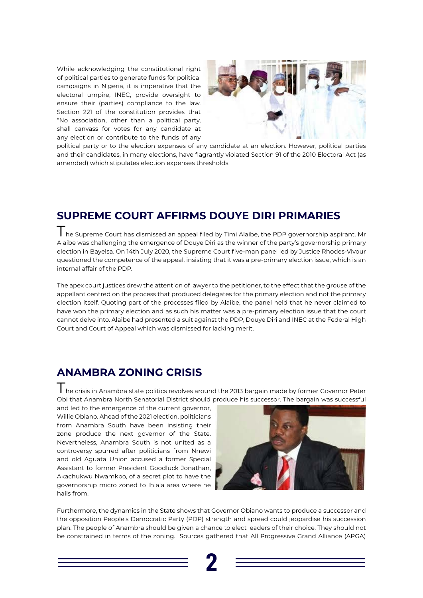

While acknowledging the constitutional right of political parties to generate funds for political campaigns in Nigeria, it is imperative that the electoral umpire, INEC, provide oversight to ensure their (parties) compliance to the law. Section 221 of the constitution provides that "No association, other than a political party, shall canvass for votes for any candidate at any election or contribute to the funds of any



political party or to the election expenses of any candidate at an election. However, political parties and their candidates, in many elections, have flagrantly violated Section 91 of the 2010 Electoral Act (as amended) which stipulates election expenses thresholds.

#### **[SUPREME COURT AFFIRMS DOUYE DIRI PRIMARIES](https://dailypost.ng/2020/07/14/bayelsa-dickson-reacts-to-supreme-court-judgement-on-governor-diris-election/)**

The Supreme Court has dismissed an appeal filed by Timi Alaibe, the PDP governorship aspirant. Mr Alaibe was challenging the emergence of Douye Diri as the winner of the party's governorship primary election in Bayelsa. On 14th July 2020, the Supreme Court five-man panel led by Justice Rhodes-Vivour questioned the competence of the appeal, insisting that it was a pre-primary election issue, which is an internal affair of the PDP.

I he crisis in Anambra state politics revolves around the 2013 bargain made by former Governor Peter Obi that Anambra North Senatorial District should produce his successor. The bargain was successful

The apex court justices drew the attention of lawyer to the petitioner, to the effect that the grouse of the appellant centred on the process that produced delegates for the primary election and not the primary election itself. Quoting part of the processes filed by Alaibe, the panel held that he never claimed to have won the primary election and as such his matter was a pre-primary election issue that the court cannot delve into. Alaibe had presented a suit against the PDP, Douye Diri and INEC at the Federal High Court and Court of Appeal which was dismissed for lacking merit.

#### **[ANAMBRA ZONING CRISIS](https://guardian.ng/politics/amid-anambra-zoning-crisis-apga-obiano-tighten-incumbency-factor/)**

and led to the emergence of the current governor, Willie Obiano. Ahead of the 2021 election, politicians from Anambra South have been insisting their zone produce the next governor of the State. Nevertheless, Anambra South is not united as a controversy spurred after politicians from Nnewi and old Aguata Union accused a former Special Assistant to former President Goodluck Jonathan, Akachukwu Nwamkpo, of a secret plot to have the governorship micro zoned to Ihiala area where he hails from.



Furthermore, the dynamics in the State shows that Governor Obiano wants to produce a successor and the opposition People's Democratic Party (PDP) strength and spread could jeopardise his succession plan. The people of Anambra should be given a chance to elect leaders of their choice. They should not be constrained in terms of the zoning. Sources gathered that All Progressive Grand Alliance (APGA)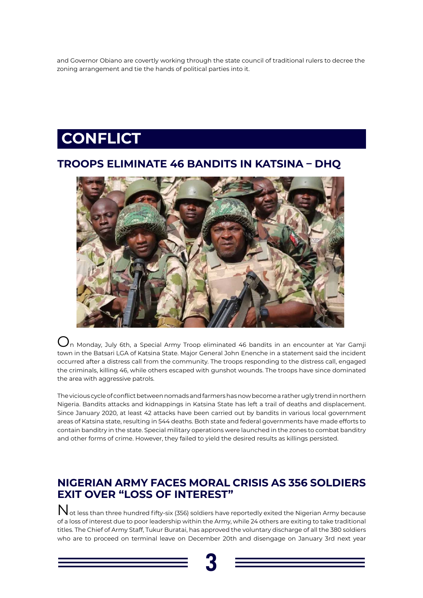

## **CONFLICT**

and Governor Obiano are covertly working through the state council of traditional rulers to decree the zoning arrangement and tie the hands of political parties into it.

#### **[TROOPS ELIMINATE 46 BANDITS IN KATSINA – DHQ](https://www.premiumtimesng.com/regional/nwest/401721-troops-eliminate-46-bandits-in-katsina-dhq.html)**



 $\bigcup_{n}$  Monday, July 6th, a Special Army Troop eliminated 46 bandits in an encounter at Yar Gamji town in the Batsari LGA of Katsina State. Major General John Enenche in a statement said the incident occurred after a distress call from the community. The troops responding to the distress call, engaged the criminals, killing 46, while others escaped with gunshot wounds. The troops have since dominated the area with aggressive patrols.

Not less than three hundred fifty-six (356) soldiers have reportedly exited the Nigerian Army because of a loss of interest due to poor leadership within the Army, while 24 others are exiting to take traditional titles. The Chief of Army Staff, Tukur Buratai, has approved the voluntary discharge of all the 380 soldiers who are to proceed on terminal leave on December 20th and disengage on January 3rd next year

The vicious cycle of conflict between nomads and farmers has now become a rather ugly trend in northern Nigeria. Bandits attacks and kidnappings in Katsina State has left a trail of deaths and displacement. Since January 2020, at least 42 attacks have been carried out by bandits in various local government areas of Katsina state, resulting in 544 deaths. Both state and federal governments have made efforts to contain banditry in the state. Special military operations were launched in the zones to combat banditry and other forms of crime. However, they failed to yield the desired results as killings persisted.

#### **[NIGERIAN ARMY FACES MORAL CRISIS AS 356 SOLDIERS](https://www.premiumtimesng.com/news/headlines/402343-nigerian-army-faces-morale-crisis-as-356-soldiers-exit-over-loss-of-interest.html)  [EXIT OVER "LOSS OF INTEREST"](https://www.premiumtimesng.com/news/headlines/402343-nigerian-army-faces-morale-crisis-as-356-soldiers-exit-over-loss-of-interest.html)**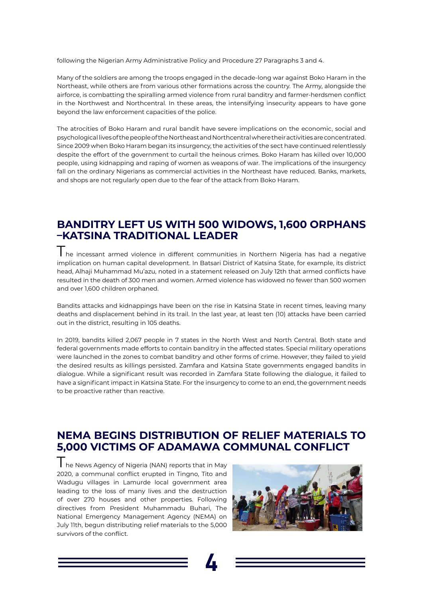**4**

following the Nigerian Army Administrative Policy and Procedure 27 Paragraphs 3 and 4.

Many of the soldiers are among the troops engaged in the decade-long war against Boko Haram in the Northeast, while others are from various other formations across the country. The Army, alongside the airforce, is combatting the spiralling armed violence from rural banditry and farmer-herdsmen conflict in the Northwest and Northcentral. In these areas, the intensifying insecurity appears to have gone beyond the law enforcement capacities of the police.

I he incessant armed violence in different communities in Northern Nigeria has had a negative implication on human capital development. In Batsari District of Katsina State, for example, its district head, Alhaji Muhammad Mu'azu, noted in a statement released on July 12th that armed conflicts have resulted in the death of 300 men and women. Armed violence has widowed no fewer than 500 women and over 1,600 children orphaned.

The atrocities of Boko Haram and rural bandit have severe implications on the economic, social and psychological lives of the people of the Northeast and Northcentral where their activities are concentrated. Since 2009 when Boko Haram began its insurgency, the activities of the sect have continued relentlessly despite the effort of the government to curtail the heinous crimes. Boko Haram has killed over 10,000 people, using kidnapping and raping of women as weapons of war. The implications of the insurgency fall on the ordinary Nigerians as commercial activities in the Northeast have reduced. Banks, markets, and shops are not regularly open due to the fear of the attack from Boko Haram.

#### **[BANDITRY LEFT US WITH 500 WIDOWS, 1,600 ORPHANS](http://saharareporters.com/2020/07/12/banditry-left-us-500-widows-1600-orphans-%E2%80%93katsina-traditional-leader)  [–KATSINA TRADITIONAL LEADER](http://saharareporters.com/2020/07/12/banditry-left-us-500-widows-1600-orphans-%E2%80%93katsina-traditional-leader)**

The News Agency of Nigeria (NAN) reports that in May 2020, a communal conflict erupted in Tingno, Tito and Wadugu villages in Lamurde local government area leading to the loss of many lives and the destruction of over 270 houses and other properties. Following directives from President Muhammadu Buhari, The National Emergency Management Agency (NEMA) on July 11th, begun distributing relief materials to the 5,000 survivors of the conflict.



Bandits attacks and kidnappings have been on the rise in Katsina State in recent times, leaving many deaths and displacement behind in its trail. In the last year, at least ten (10) attacks have been carried out in the district, resulting in 105 deaths.

In 2019, bandits killed 2,067 people in 7 states in the North West and North Central. Both state and federal governments made efforts to contain banditry in the affected states. Special military operations were launched in the zones to combat banditry and other forms of crime. However, they failed to yield the desired results as killings persisted. Zamfara and Katsina State governments engaged bandits in dialogue. While a significant result was recorded in Zamfara State following the dialogue, it failed to have a significant impact in Katsina State. For the insurgency to come to an end, the government needs to be proactive rather than reactive.

#### **[NEMA BEGINS DISTRIBUTION OF RELIEF MATERIALS TO](https://www.premiumtimesng.com/regional/nnorth-east/402410-nema-begins-distribution-of-relief-materials-to-5000-victims-of-adamawa-communal-conflict.html)  [5,000 VICTIMS OF ADAMAWA COMMUNAL CONFLICT](https://www.premiumtimesng.com/regional/nnorth-east/402410-nema-begins-distribution-of-relief-materials-to-5000-victims-of-adamawa-communal-conflict.html)**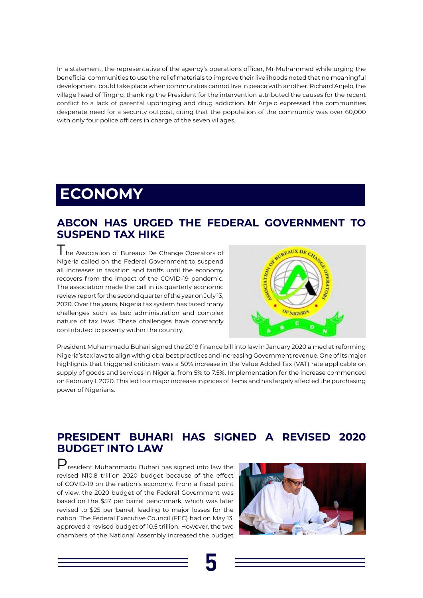

## **ECONOMY**

In a statement, the representative of the agency's operations officer, Mr Muhammed while urging the beneficial communities to use the relief materials to improve their livelihoods noted that no meaningful development could take place when communities cannot live in peace with another. Richard Anjelo, the village head of Tingno, thanking the President for the intervention attributed the causes for the recent conflict to a lack of parental upbringing and drug addiction. Mr Anjelo expressed the communities desperate need for a security outpost, citing that the population of the community was over 60,000 with only four police officers in charge of the seven villages.

I he Association of Bureaux De Change Operators of Nigeria called on the Federal Government to suspend all increases in taxation and tariffs until the economy recovers from the impact of the COVID-19 pandemic. The association made the call in its quarterly economic review report for the second quarter of the year on July 13, 2020. Over the years, Nigeria tax system has faced many challenges such as bad administration and complex nature of tax laws. These challenges have constantly contributed to poverty within the country.



#### **[ABCON HAS URGED THE FEDERAL GOVERNMENT TO](https://nairametrics.com/2020/07/14/just-in-fg-kickstarts-its-774000-jobs-spw-initiative-as-buhari-backs-keyamo/)  [SUSPEND TAX HIKE](https://nairametrics.com/2020/07/14/just-in-fg-kickstarts-its-774000-jobs-spw-initiative-as-buhari-backs-keyamo/)**

 $\mathbf{P}_{\text{resident Muhammad}}$  Buhari has signed into law the revised N10.8 trillion 2020 budget because of the effect of COVID-19 on the nation's economy. From a fiscal point of view, the 2020 budget of the Federal Government was based on the \$57 per barrel benchmark, which was later revised to \$25 per barrel, leading to major losses for the nation. The Federal Executive Council (FEC) had on May 13, approved a revised budget of 10.5 trillion. However, the two chambers of the National Assembly increased the budget



President Muhammadu Buhari signed the 2019 finance bill into law in January 2020 aimed at reforming Nigeria's tax laws to align with global best practices and increasing Government revenue. One of its major highlights that triggered criticism was a 50% increase in the Value Added Tax (VAT) rate applicable on supply of goods and services in Nigeria, from 5% to 7.5%. Implementation for the increase commenced on February 1, 2020. This led to a major increase in prices of items and has largely affected the purchasing power of Nigerians.

#### **[PRESIDENT BUHARI HAS SIGNED A REVISED 2020](https://nairametrics.com/2020/07/10/buhari-signs-n10-8-trillion-revised-2020-budget/)  [BUDGET INTO LAW](https://nairametrics.com/2020/07/10/buhari-signs-n10-8-trillion-revised-2020-budget/)**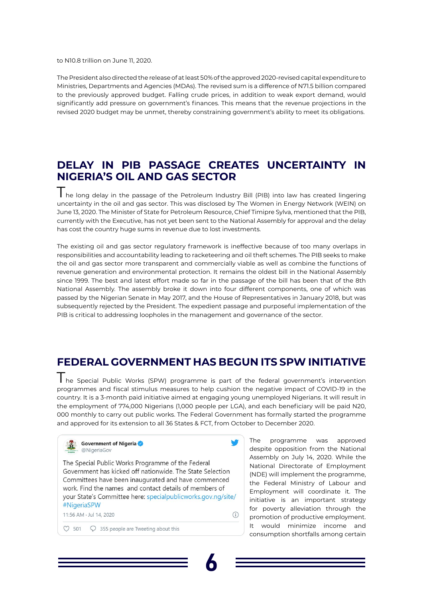**6**





 $\bigcirc$ 

to N10.8 trillion on June 11, 2020.

The President also directed the release of at least 50% of the approved 2020-revised capital expenditure to Ministries, Departments and Agencies (MDAs). The revised sum is a difference of N71.5 billion compared to the previously approved budget. Falling crude prices, in addition to weak export demand, would significantly add pressure on government's finances. This means that the revenue projections in the revised 2020 budget may be unmet, thereby constraining government's ability to meet its obligations.

The long delay in the passage of the Petroleum Industry Bill (PIB) into law has created lingering uncertainty in the oil and gas sector. This was disclosed by The Women in Energy Network (WEIN) on June 13, 2020. The Minister of State for Petroleum Resource, Chief Timipre Sylva, mentioned that the PIB, currently with the Executive, has not yet been sent to the National Assembly for approval and the delay has cost the country huge sums in revenue due to lost investments.

#### **[DELAY IN PIB PASSAGE CREATES UNCERTAINTY IN](https://nairametrics.com/2020/07/13/delay-in-passing-pib-creating-uncertainties-in-petroleum-industry-wein/)  [NIGERIA'S OIL AND GAS SECTOR](https://nairametrics.com/2020/07/13/delay-in-passing-pib-creating-uncertainties-in-petroleum-industry-wein/)**

I he Special Public Works (SPW) programme is part of the federal government's intervention programmes and fiscal stimulus measures to help cushion the negative impact of COVID-19 in the country. It is a 3-month paid initiative aimed at engaging young unemployed Nigerians. It will result in the employment of 774,000 Nigerians (1,000 people per LGA), and each beneficiary will be paid N20, 000 monthly to carry out public works. The Federal Government has formally started the programme and approved for its extension to all 36 States & FCT, from October to December 2020.

The existing oil and gas sector regulatory framework is ineffective because of too many overlaps in responsibilities and accountability leading to racketeering and oil theft schemes. The PIB seeks to make the oil and gas sector more transparent and commercially viable as well as combine the functions of revenue generation and environmental protection. It remains the oldest bill in the National Assembly since 1999. The best and latest effort made so far in the passage of the bill has been that of the 8th National Assembly. The assembly broke it down into four different components, one of which was passed by the Nigerian Senate in May 2017, and the House of Representatives in January 2018, but was subsequently rejected by the President. The expedient passage and purposeful implementation of the PIB is critical to addressing loopholes in the management and governance of the sector.

## **[FEDERAL GOVERNMENT HAS BEGUN ITS SPW INITIATIVE](https://nairametrics.com/2020/07/14/just-in-fg-kickstarts-its-774000-jobs-spw-initiative-as-buhari-backs-keyamo/)**

The programme was approved despite opposition from the National Assembly on July 14, 2020. While the National Directorate of Employment (NDE) will implement the programme, the Federal Ministry of Labour and Employment will coordinate it. The initiative is an important strategy for poverty alleviation through the promotion of productive employment. It would minimize income and consumption shortfalls among certain

The Special Public Works Programme of the Federal Government has kicked off nationwide. The State Selection Committees have been inaugurated and have commenced work. Find the names and contact details of members of your State's Committee here: specialpublicworks.gov.ng/site/ #NigeriaSPW

11:56 AM · Jul 14, 2020

 $\circ$  355 people are Tweeting about this  $\circ$  501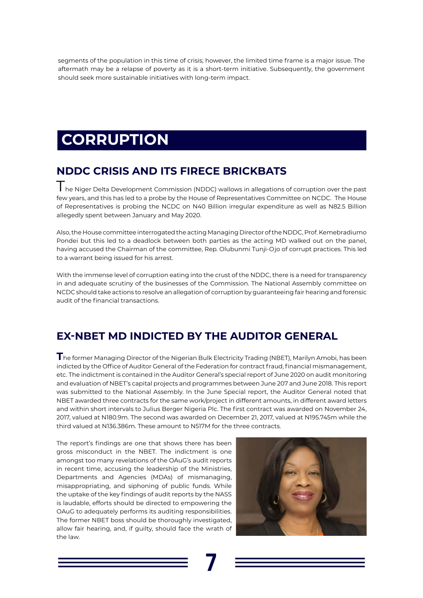

## **CORRUPTION**

segments of the population in this time of crisis; however, the limited time frame is a major issue. The aftermath may be a relapse of poverty as it is a short-term initiative. Subsequently, the government should seek more sustainable initiatives with long-term impact.

### **NDDC CRISIS AND ITS FIRECE BRICKBATS**

The Niger Delta Development Commission (NDDC) wallows in allegations of corruption over the past few years, and this has led to a probe by the House of Representatives Committee on NCDC. The House of Representatives is probing the NCDC on N40 Billion irregular expenditure as well as N82.5 Billion allegedly spent between January and May 2020.

Also, the House committee interrogated the acting Managing Director of the NDDC, Prof. Kemebradiumo Pondei but this led to a deadlock between both parties as the acting MD walked out on the panel, having accused the Chairman of the committee, Rep. Olubunmi Tunji-Ojo of corrupt practices. This led to a warrant being issued for his arrest.

With the immense level of corruption eating into the crust of the NDDC, there is a need for transparency in and adequate scrutiny of the businesses of the Commission. The National Assembly committee on NCDC should take actions to resolve an allegation of corruption by guaranteeing fair hearing and forensic audit of the financial transactions.

### **[EX-NBET MD INDICTED BY THE AUDITOR GENERAL](https://www.premiumtimesng.com/news/top-news/402872-just-in-auditor-general-indicts-nbets-outgoing-md-marilyn-amobi.html)**

**T**he former Managing Director of the Nigerian Bulk Electricity Trading (NBET), Marilyn Amobi, has been indicted by the Office of Auditor General of the Federation for contract fraud, financial mismanagement, etc. The indictment is contained in the Auditor General's special report of June 2020 on audit monitoring and evaluation of NBET's capital projects and programmes between June 207 and June 2018. This report was submitted to the National Assembly. In the June Special report, the Auditor General noted that NBET awarded three contracts for the same work/project in different amounts, in different award letters and within short intervals to Julius Berger Nigeria Plc. The first contract was awarded on November 24, 2017, valued at N180.9m. The second was awarded on December 21, 2017, valued at N195.745m while the third valued at N136.386m. These amount to N517M for the three contracts.

The report's findings are one that shows there has been gross misconduct in the NBET. The indictment is one



amongst too many revelations of the OAuG's audit reports in recent time, accusing the leadership of the Ministries, Departments and Agencies (MDAs) of mismanaging, misappropriating, and siphoning of public funds. While the uptake of the key findings of audit reports by the NASS is laudable, efforts should be directed to empowering the OAuG to adequately performs its auditing responsibilities. The former NBET boss should be thoroughly investigated, allow fair hearing, and, if guilty, should face the wrath of the law.

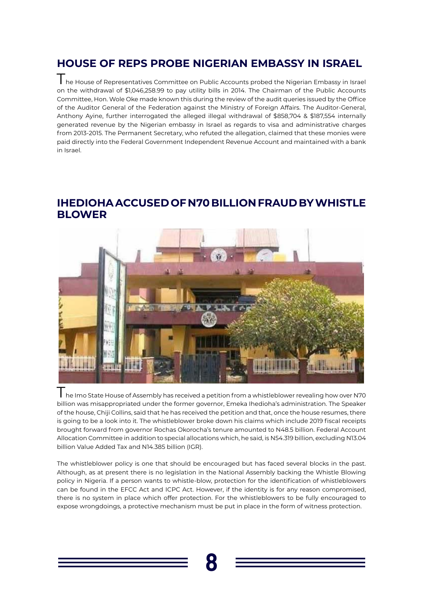

### **[HOUSE OF REPS PROBE NIGERIAN EMBASSY IN ISRAEL](https://www.thisdaylive.com/index.php/2020/07/13/house-probes-withdrawal-of-1-046m-by-nigerian-embassy-in-israel/)**

The House of Representatives Committee on Public Accounts probed the Nigerian Embassy in Israel on the withdrawal of \$1,046,258.99 to pay utility bills in 2014. The Chairman of the Public Accounts Committee, Hon. Wole Oke made known this during the review of the audit queries issued by the Office of the Auditor General of the Federation against the Ministry of Foreign Affairs. The Auditor-General, Anthony Ayine, further interrogated the alleged illegal withdrawal of \$858,704 & \$187,554 internally generated revenue by the Nigerian embassy in Israel as regards to visa and administrative charges from 2013-2015. The Permanent Secretary, who refuted the allegation, claimed that these monies were paid directly into the Federal Government Independent Revenue Account and maintained with a bank in Israel.

I he Imo State House of Assembly has received a petition from a whistleblower revealing how over N70 billion was misappropriated under the former governor, Emeka Ihedioha's administration. The Speaker of the house, Chiji Collins, said that he has received the petition and that, once the house resumes, there is going to be a look into it. The whistleblower broke down his claims which include 2019 fiscal receipts brought forward from governor Rochas Okorocha's tenure amounted to N48.5 billion. Federal Account Allocation Committee in addition to special allocations which, he said, is N54.319 billion, excluding N13.04 billion Value Added Tax and N14.385 billion (IGR).

#### **[IHEDIOHA ACCUSED OF N70 BILLION FRAUD BY WHISTLE](https://www.sunnewsonline.com/whistle-blower-petitions-imo-assembly-over-alleged-n70bn-fraud-against-ihedioha/)  [BLOWER](https://www.sunnewsonline.com/whistle-blower-petitions-imo-assembly-over-alleged-n70bn-fraud-against-ihedioha/)**



The whistleblower policy is one that should be encouraged but has faced several blocks in the past. Although, as at present there is no legislation in the National Assembly backing the Whistle Blowing policy in Nigeria. If a person wants to whistle-blow, protection for the identification of whistleblowers can be found in the EFCC Act and ICPC Act. However, if the identity is for any reason compromised, there is no system in place which offer protection. For the whistleblowers to be fully encouraged to expose wrongdoings, a protective mechanism must be put in place in the form of witness protection.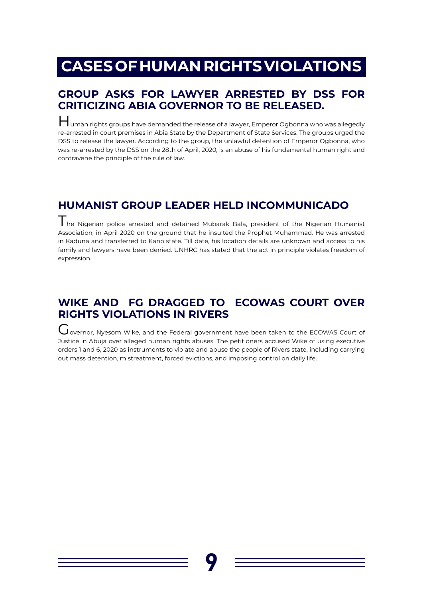

## **CASES OF HUMAN RIGHTS VIOLATIONS**

#### **[GROUP ASKS FOR LAWYER ARRESTED BY DSS FOR](https://punchng.com/groups-ask-dss-to-release-lawyer-arrested-for-criticising-abia-gov/) [CRITICIZING ABIA GOVERNOR TO BE RELEASED.](https://punchng.com/groups-ask-dss-to-release-lawyer-arrested-for-criticising-abia-gov/)**

Human rights groups have demanded the release of a lawyer, Emperor Ogbonna who was allegedly re-arrested in court premises in Abia State by the Department of State Services. The groups urged the DSS to release the lawyer. According to the group, the unlawful detention of Emperor Ogbonna, who was re-arrested by the DSS on the 28th of April, 2020, is an abuse of his fundamental human right and contravene the principle of the rule of law.

I he Nigerian police arrested and detained Mubarak Bala, president of the Nigerian Humanist Association, in April 2020 on the ground that he insulted the Prophet Muhammad. He was arrested in Kaduna and transferred to Kano state. Till date, his location details are unknown and access to his family and lawyers have been denied. UNHRC has stated that the act in principle violates freedom of expression.

#### [WIKE AND FG DRAGGED TO ECOWAS COURT OVER](https://www.tv360nigeria.com/executive-rascality-serap-takes-wike-fg-to-ecowas-court-over-rights-violations-in-rivers/) **[RIGHTS VIOLATIONS IN RIVERS](https://www.tv360nigeria.com/executive-rascality-serap-takes-wike-fg-to-ecowas-court-over-rights-violations-in-rivers/)**

## **[HUMANIST GROUP LEADER HELD INCOMMUNICADO](https://www.hrw.org/news/2020/07/08/nigeria-humanist-group-leader-held-incommunicado)**

Governor, Nyesom Wike, and the Federal government have been taken to the ECOWAS Court of Justice in Abuja over alleged human rights abuses. The petitioners accused Wike of using executive orders 1 and 6, 2020 as instruments to violate and abuse the people of Rivers state, including carrying out mass detention, mistreatment, forced evictions, and imposing control on daily life.